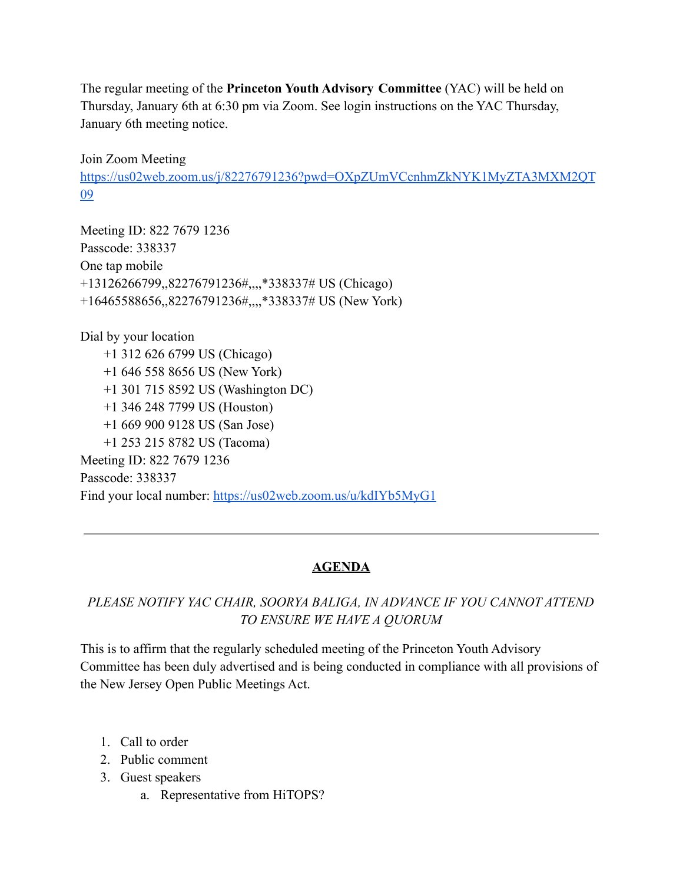The regular meeting of the **Princeton Youth Advisory Committee** (YAC) will be held on Thursday, January 6th at 6:30 pm via Zoom. See login instructions on the YAC Thursday, January 6th meeting notice.

## Join Zoom Meeting

[https://us02web.zoom.us/j/82276791236?pwd=OXpZUmVCcnhmZkNYK1MyZTA3MXM2QT](https://us02web.zoom.us/j/82276791236?pwd=OXpZUmVCcnhmZkNYK1MyZTA3MXM2QT09) [09](https://us02web.zoom.us/j/82276791236?pwd=OXpZUmVCcnhmZkNYK1MyZTA3MXM2QT09)

Meeting ID: 822 7679 1236 Passcode: 338337 One tap mobile +13126266799,,82276791236#,,,,\*338337# US (Chicago) +16465588656,,82276791236#,,,,\*338337# US (New York)

Dial by your location +1 312 626 6799 US (Chicago) +1 646 558 8656 US (New York) +1 301 715 8592 US (Washington DC) +1 346 248 7799 US (Houston) +1 669 900 9128 US (San Jose) +1 253 215 8782 US (Tacoma) Meeting ID: 822 7679 1236 Passcode: 338337 Find your local number: <https://us02web.zoom.us/u/kdIYb5MyG1>

## **AGENDA**

## *PLEASE NOTIFY YAC CHAIR, SOORYA BALIGA, IN ADVANCE IF YOU CANNOT ATTEND TO ENSURE WE HAVE A QUORUM*

This is to affirm that the regularly scheduled meeting of the Princeton Youth Advisory Committee has been duly advertised and is being conducted in compliance with all provisions of the New Jersey Open Public Meetings Act.

- 1. Call to order
- 2. Public comment
- 3. Guest speakers
	- a. Representative from HiTOPS?